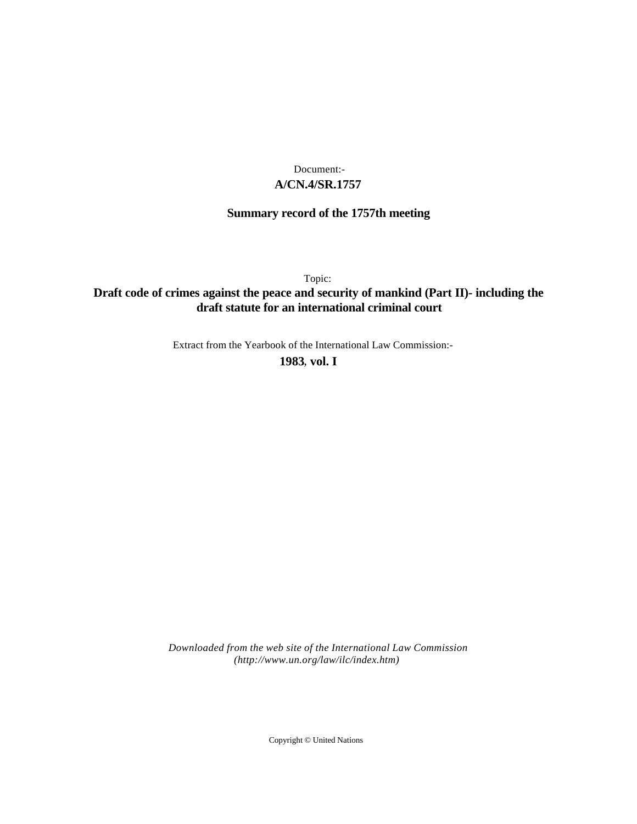# **A/CN.4/SR.1757** Document:-

# **Summary record of the 1757th meeting**

Topic:

# **Draft code of crimes against the peace and security of mankind (Part II)- including the draft statute for an international criminal court**

Extract from the Yearbook of the International Law Commission:-

**1983** , **vol. I**

*Downloaded from the web site of the International Law Commission (http://www.un.org/law/ilc/index.htm)*

Copyright © United Nations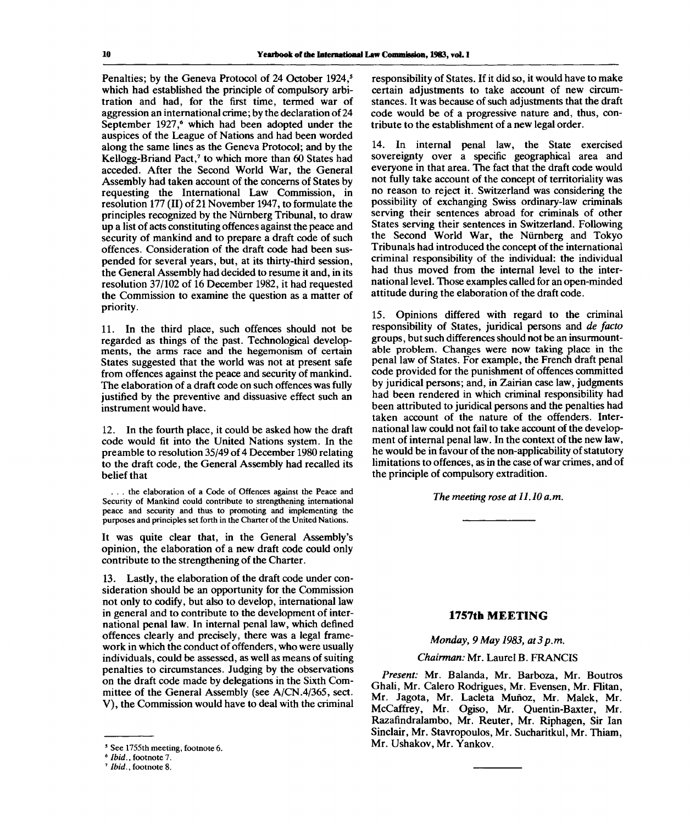Penalties; by the Geneva Protocol of 24 October 1924,<sup>5</sup> which had established the principle of compulsory arbitration and had, for the first time, termed war of aggression an international crime; by the declaration of 24 September 1927,<sup>6</sup> which had been adopted under the auspices of the League of Nations and had been worded along the same lines as the Geneva Protocol; and by the Kellogg-Briand Pact,<sup>7</sup> to which more than 60 States had acceded. After the Second World War, the General Assembly had taken account of the concerns of States by requesting the International Law Commission, in resolution 177 (II) of 21 November 1947, to formulate the principles recognized by the Niirnberg Tribunal, to draw up a list of acts constituting offences against the peace and security of mankind and to prepare a draft code of such offences. Consideration of the draft code had been suspended for several years, but, at its thirty-third session, the General Assembly had decided to resume it and, in its resolution 37/102 of 16 December 1982, it had requested the Commission to examine the question as a matter of priority.

11. In the third place, such offences should not be regarded as things of the past. Technological developments, the arms race and the hegemonism of certain States suggested that the world was not at present safe from offences against the peace and security of mankind. The elaboration of a draft code on such offences was fully justified by the preventive and dissuasive effect such an instrument would have.

12. In the fourth place, it could be asked how the draft code would fit into the United Nations system. In the preamble to resolution 35/49 of 4 December 1980 relating to the draft code, the General Assembly had recalled its belief that

. . . the elaboration of a Code of Offences against the Peace and Security of Mankind could contribute to strengthening international peace and security and thus to promoting and implementing the purposes and principles set forth in the Charter of the United Nations.

It was quite clear that, in the General Assembly's opinion, the elaboration of a new draft code could only contribute to the strengthening of the Charter.

13. Lastly, the elaboration of the draft code under consideration should be an opportunity for the Commission not only to codify, but also to develop, international law in general and to contribute to the development of international penal law. In internal penal law, which defined offences clearly and precisely, there was a legal framework in which the conduct of offenders, who were usually individuals, could be assessed, as well as means of suiting penalties to circumstances. Judging by the observations on the draft code made by delegations in the Sixth Committee of the General Assembly (see A/CN.4/365, sect. V), the Commission would have to deal with the criminal

responsibility of States. If it did so, it would have to make certain adjustments to take account of new circumstances. It was because of such adjustments that the draft code would be of a progressive nature and, thus, contribute to the establishment of a new legal order.

14. In internal penal law, the State exercised sovereignty over a specific geographical area and everyone in that area. The fact that the draft code would not fully take account of the concept of territoriality was no reason to reject it. Switzerland was considering the possibility of exchanging Swiss ordinary-law criminals serving their sentences abroad for criminals of other States serving their sentences in Switzerland. Following the Second World War, the Niirnberg and Tokyo Tribunals had introduced the concept of the international criminal responsibility of the individual: the individual had thus moved from the internal level to the international level. Those examples called for an open-minded attitude during the elaboration of the draft code.

15. Opinions differed with regard to the criminal responsibility of States, juridical persons and *de facto* groups, but such differences should not be an insurmountable problem. Changes were now taking place in the penal law of States. For example, the French draft penal code provided for the punishment of offences committed by juridical persons; and, in Zairian case law, judgments had been rendered in which criminal responsibility had been attributed to juridical persons and the penalties had taken account of the nature of the offenders. International law could not fail to take account of the development of internal penal law. In the context of the new law, he would be in favour of the non-applicability of statutory limitations to offences, as in the case of war crimes, and of the principle of compulsory extradition.

*The meeting rose at 11.10 a.m.*

### **1757th MEETING**

*Monday, 9 May 1983, at3p.m.*

### *Chairman:* Mr. Laurel B. FRANCIS

*Present:* Mr. Balanda, Mr. Barboza, Mr. Boutros Ghali, Mr. Calero Rodrigues, Mr. Evensen, Mr. Flitan, Mr. Jagota, Mr. Lacleta Munoz, Mr. Malek, Mr. McCaffrey, Mr. Ogiso, Mr. Quentin-Baxter, Mr. Razafindralambo, Mr. Reuter, Mr. Riphagen, Sir Ian Sinclair, Mr. Stavropoulos, Mr. Sucharitkul, Mr. Thiam, Mr. Ushakov, Mr. Yankov.

<sup>5</sup> See 1755th meeting, footnote 6.

<sup>6</sup>  *Ibid.,* footnote 7.

<sup>7</sup>  *Ibid.,* footnote 8.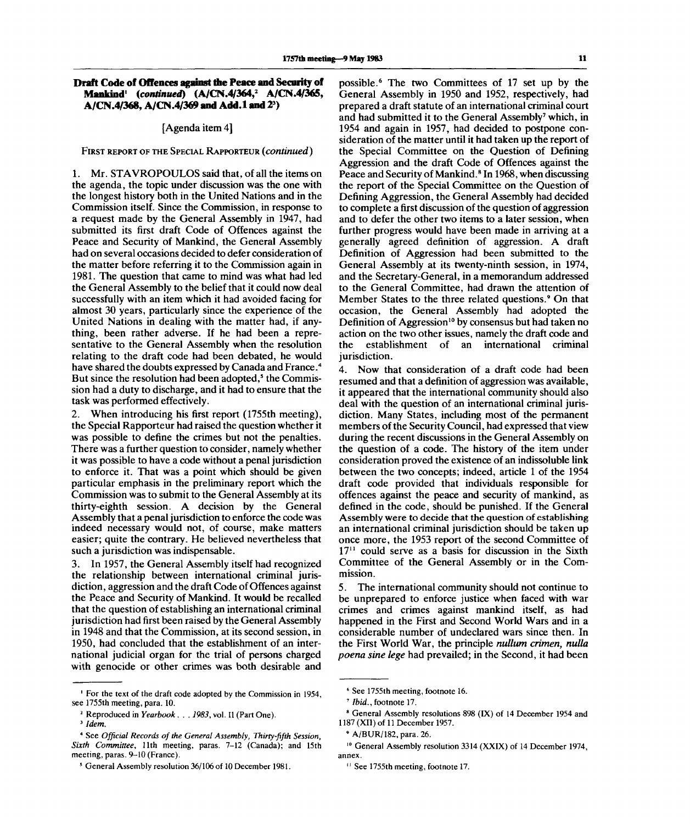# **Draft Code of Offences against the Peace and Security of Mankind<sup>1</sup>**  *(continued)* **(A/CN.4/364,<sup>2</sup> A/CN.4/365, A/CN.4/368, A/CN.4/369 and Add.l and 2<sup>3</sup> )**

#### [Agenda item 4]

#### FIRST REPORT OF THE SPECIAL RAPPORTEUR *(continued)*

1. Mr. STAVROPOULOS said that, of all the items on the agenda, the topic under discussion was the one with the longest history both in the United Nations and in the Commission itself. Since the Commission, in response to a request made by the General Assembly in 1947, had submitted its first draft Code of Offences against the Peace and Security of Mankind, the General Assembly had on several occasions decided to defer consideration of the matter before referring it to the Commission again in 1981. The question that came to mind was what had led the General Assembly to the belief that it could now deal successfully with an item which it had avoided facing for almost 30 years, particularly since the experience of the United Nations in dealing with the matter had, if anything, been rather adverse. If he had been a representative to the General Assembly when the resolution relating to the draft code had been debated, he would have shared the doubts expressed by Canada and France.<sup>4</sup> nave shared the doubts expressed by Canada and France.<br>But since the resolution had been adopted.<sup>5</sup> the Commission had a duty to discharge, and it had to ensure that the task was performed effectively.

2. When introducing his first report (1755th meeting), the Special Rapporteur had raised the question whether it was possible to define the crimes but not the penalties. There was a further question to consider, namely whether it was possible to have a code without a penal jurisdiction to enforce it. That was a point which should be given particular emphasis in the preliminary report which the Commission was to submit to the General Assembly at its thirty-eighth session. A decision by the General Assembly that a penal jurisdiction to enforce the code was indeed necessary would not, of course, make matters easier; quite the contrary. He believed nevertheless that such a jurisdiction was indispensable.

3. In 1957, the General Assembly itself had recognized the relationship between international criminal jurisdiction, aggression and the draft Code of Offences against the Peace and Security of Mankind. It would be recalled that the question of establishing an international criminal jurisdiction had first been raised by the General Assembly in 1948 and that the Commission, at its second session, in 1950, had concluded that the establishment of an international judicial organ for the trial of persons charged with genocide or other crimes was both desirable and

possible.<sup>6</sup> The two Committees of 17 set up by the General Assembly in 1950 and 1952, respectively, had prepared a draft statute of an international criminal court and had submitted it to the General Assembly<sup>7</sup> which, in 1954 and again in 1957, had decided to postpone consideration of the matter until it had taken up the report of the Special Committee on the Question of Defining Aggression and the draft Code of Offences against the Peace and Security of Mankind.<sup>8</sup> In 1968, when discussing the report of the Special Committee on the Question of Defining Aggression, the General Assembly had decided to complete a first discussion of the question of aggression and to defer the other two items to a later session, when further progress would have been made in arriving at a generally agreed definition of aggression. A draft Definition of Aggression had been submitted to the General Assembly at its twenty-ninth session, in 1974, and the Secretary-General, in a memorandum addressed to the General Committee, had drawn the attention of Member States to the three related questions.<sup>9</sup> On that occasion, the General Assembly had adopted the occasion, the Oeneral Assembly had adopted the<br>Definition of Aggression<sup>10</sup> by consensus but had taken no action on the two other issues, namely the draft code and the establishment of an international criminal jurisdiction.

4. Now that consideration of a draft code had been resumed and that a definition of aggression was available, it appeared that the international community should also deal with the question of an international criminal jurisdiction. Many States, including most of the permanent members of the Security Council, had expressed that view during the recent discussions in the General Assembly on the question of a code. The history of the item under consideration proved the existence of an indissoluble link between the two concepts; indeed, article 1 of the 1954 draft code provided that individuals responsible for offences against the peace and security of mankind, as defined in the code, should be punished. If the General Assembly were to decide that the question of establishing an international criminal jurisdiction should be taken up once more, the 1953 report of the second Committee of 17<sup>11</sup> could serve as a basis for discussion in the Sixth Committee of the General Assembly or in the Commission.

5. The international community should not continue to be unprepared to enforce justice when faced with war crimes and crimes against mankind itself, as had happened in the First and Second World Wars and in a considerable number of undeclared wars since then. In the First World War, the principle *nullum crimen, nulla poena sine lege* had prevailed; in the Second, it had been

<sup>&</sup>lt;sup>1</sup> For the text of the draft code adopted by the Commission in 1954, see 1755th meeting, para. 10.

<sup>2</sup> Reproduced in *Yearbook . . . 1983,* vol. II (Part One).

<sup>3</sup>  *Idem.*

<sup>4</sup> See *Official Records of the General Assembly, Thirty-fifth Session, Sixth Committee,* 11th meeting, paras. 7-12 (Canada); and 15th meeting, paras. 9-10 (France).

<sup>5</sup> General Assembly resolution 36/106 of 10 December 1981.

*<sup>6</sup>* See 1755th meeting, footnote 16.

<sup>7</sup>  *Ibid.,* footnote 17.

<sup>8</sup> General Assembly resolutions 898 (IX) of 14 December 1954 and 1187 (XII) of 11 December 1957.

<sup>9</sup> A/BUR/182, para. 26.

<sup>&</sup>lt;sup>10</sup> General Assembly resolution 3314 (XXIX) of 14 December 1974, annex.

<sup>&</sup>lt;sup>11</sup> See 1755th meeting, footnote 17.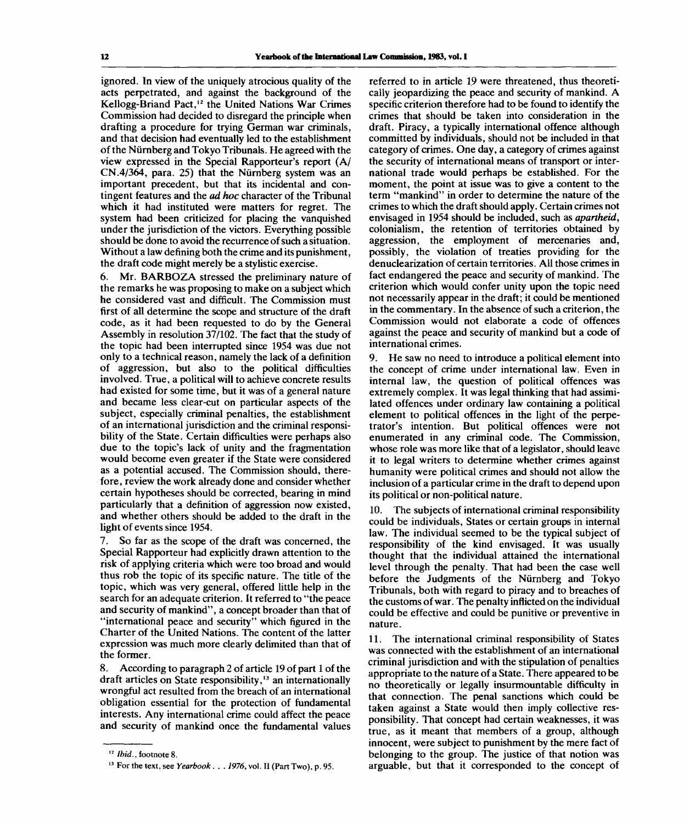ignored. In view of the uniquely atrocious quality of the acts perpetrated, and against the background of the Kellogg-Briand Pact,<sup>12</sup> the United Nations War Crimes Commission had decided to disregard the principle when drafting a procedure for trying German war criminals, and that decision had eventually led to the establishment of the Niirnberg and Tokyo Tribunals. He agreed with the view expressed in the Special Rapporteur's report (A/ CN.4/364, para. 25) that the Niirnberg system was an important precedent, but that its incidental and contingent features and the *ad hoc* character of the Tribunal which it had instituted were matters for regret. The system had been criticized for placing the vanquished under the jurisdiction of the victors. Everything possible should be done to avoid the recurrence of such a situation. Without a law defining both the crime and its punishment, the draft code might merely be a stylistic exercise.

6. Mr. BARBOZA stressed the preliminary nature of the remarks he was proposing to make on a subject which he considered vast and difficult. The Commission must first of all determine the scope and structure of the draft code, as it had been requested to do by the General Assembly in resolution 37/102. The fact that the study of the topic had been interrupted since 1954 was due not only to a technical reason, namely the lack of a definition of aggression, but also to the political difficulties involved. True, a political will to achieve concrete results had existed for some time, but it was of a general nature and became less clear-cut on particular aspects of the subject, especially criminal penalties, the establishment of an international jurisdiction and the criminal responsibility of the State. Certain difficulties were perhaps also due to the topic's lack of unity and the fragmentation would become even greater if the State were considered as a potential accused. The Commission should, therefore, review the work already done and consider whether certain hypotheses should be corrected, bearing in mind particularly that a definition of aggression now existed, and whether others should be added to the draft in the light of events since 1954.

7. So far as the scope of the draft was concerned, the Special Rapporteur had explicitly drawn attention to the risk of applying criteria which were too broad and would thus rob the topic of its specific nature. The title of the topic, which was very general, offered little help in the search for an adequate criterion. It referred to "the peace and security of mankind", a concept broader than that of "international peace and security" which figured in the Charter of the United Nations. The content of the latter expression was much more clearly delimited than that of the former.

8. According to paragraph 2 of article 19 of part 1 of the draft articles on State responsibility,<sup>13</sup> an internationally wrongful act resulted from the breach of an international obligation essential for the protection of fundamental interests. Any international crime could affect the peace and security of mankind once the fundamental values

referred to in article 19 were threatened, thus theoretically jeopardizing the peace and security of mankind. A specific criterion therefore had to be found to identify the crimes that should be taken into consideration in the draft. Piracy, a typically international offence although committed by individuals, should not be included in that category of crimes. One day, a category of crimes against the security of international means of transport or international trade would perhaps be established. For the moment, the point at issue was to give a content to the term "mankind" in order to determine the nature of the crimes to which the draft should apply. Certain crimes not envisaged in 1954 should be included, such as *apartheid,* colonialism, the retention of territories obtained by aggression, the employment of mercenaries and, possibly, the violation of treaties providing for the denuclearization of certain territories. All those crimes in fact endangered the peace and security of mankind. The criterion which would confer unity upon the topic need not necessarily appear in the draft; it could be mentioned in the commentary. In the absence of such a criterion, the Commission would not elaborate a code of offences against the peace and security of mankind but a code of international crimes.

9. He saw no need to introduce a political element into the concept of crime under international law. Even in internal law, the question of political offences was extremely complex. It was legal thinking that had assimilated offences under ordinary law containing a political element to political offences in the light of the perpetrator's intention. But political offences were not enumerated in any criminal code. The Commission, whose role was more like that of a legislator, should leave it to legal writers to determine whether crimes against humanity were political crimes and should not allow the inclusion of a particular crime in the draft to depend upon its political or non-political nature.

10. The subjects of international criminal responsibility could be individuals, States or certain groups in internal law. The individual seemed to be the typical subject of responsibility of the kind envisaged. It was usually thought that the individual attained the international level through the penalty. That had been the case well before the Judgments of the Niirnberg and Tokyo Tribunals, both with regard to piracy and to breaches of the customs of war. The penalty inflicted on the individual could be effective and could be punitive or preventive in nature.

11. The international criminal responsibility of States was connected with the establishment of an international criminal jurisdiction and with the stipulation of penalties appropriate to the nature of a State. There appeared to be no theoretically or legally insurmountable difficulty in that connection. The penal sanctions which could be taken against a State would then imply collective responsibility. That concept had certain weaknesses, it was true, as it meant that members of a group, although innocent, were subject to punishment by the mere fact of belonging to the group. The justice of that notion was arguable, but that it corresponded to the concept of

<sup>12</sup>  *Ibid.,* footnote 8.

<sup>13</sup> For the text, see *Yearbook. . . 1976,* vol. II (Part Two), p. 95.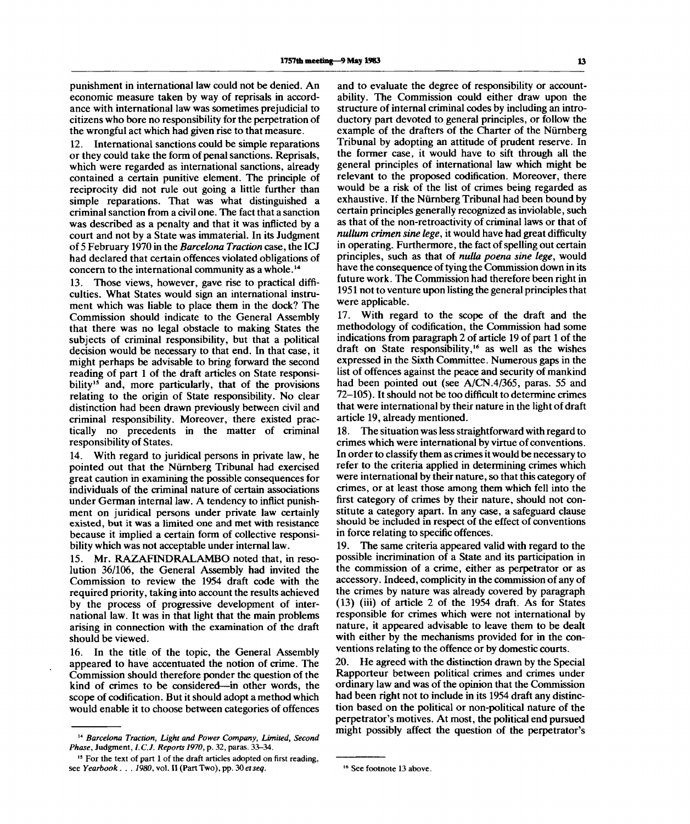punishment in international law could not be denied. An economic measure taken by way of reprisals in accordance with international law was sometimes prejudicial to citizens who bore no responsibility for the perpetration of the wrongful act which had given rise to that measure.

12. International sanctions could be simple reparations or they could take the form of penal sanctions. Reprisals, which were regarded as international sanctions, already contained a certain punitive element. The principle of reciprocity did not rule out going a little further than simple reparations. That was what distinguished a criminal sanction from a civil one. The fact that a sanction was described as a penalty and that it was inflicted by a court and not by a State was immaterial. In its Judgment of 5 February 1970 in the *Barcelona Traction* case, the ICJ had declared that certain offences violated obligations of concern to the international community as a whole.<sup>14</sup>

13. Those views, however, gave rise to practical difficulties. What States would sign an international instrument which was liable to place them in the dock? The Commission should indicate to the General Assembly that there was no legal obstacle to making States the subjects of criminal responsibility, but that a political decision would be necessary to that end. In that case, it might perhaps be advisable to bring forward the second reading of part 1 of the draft articles on State responsibility<sup>15</sup> and, more particularly, that of the provisions relating to the origin of State responsibility. No clear distinction had been drawn previously between civil and criminal responsibility. Moreover, there existed practically no precedents in the matter of criminal responsibility of States.

14. With regard to juridical persons in private law, he pointed out that the Nurnberg Tribunal had exercised great caution in examining the possible consequences for individuals of the criminal nature of certain associations under German internal law. A tendency to inflict punishment on juridical persons under private law certainly existed, but it was a limited one and met with resistance because it implied a certain form of collective responsibility which was not acceptable under internal law.

15. Mr. RAZAFINDRALAMBO noted that, in resolution 36/106, the General Assembly had invited the Commission to review the 1954 draft code with the required priority, taking into account the results achieved by the process of progressive development of international law. It was in that light that the main problems arising in connection with the examination of the draft should be viewed.

16. In the title of the topic, the General Assembly appeared to have accentuated the notion of crime. The Commission should therefore ponder the question of the kind of crimes to be considered—in other words, the scope of codification. But it should adopt a method which would enable it to choose between categories of offences

and to evaluate the degree of responsibility or accountability. The Commission could either draw upon the structure of internal criminal codes by including an introductory part devoted to general principles, or follow the example of the drafters of the Charter of the Nurnberg Tribunal by adopting an attitude of prudent reserve. In the former case, it would have to sift through all the general principles of international law which might be relevant to the proposed codification. Moreover, there would be a risk of the list of crimes being regarded as exhaustive. If the Nurnberg Tribunal had been bound by certain principles generally recognized as inviolable, such as that of the non-retroactivity of criminal laws or that of *nullum crimen sine lege,* it would have had great difficulty in operating. Furthermore, the fact of spelling out certain principles, such as that of *nulla poena sine lege,* would have the consequence of tying the Commission down in its future work. The Commission had therefore been right in 1951 not to venture upon listing the general principles that were applicable.

17. With regard to the scope of the draft and the methodology of codification, the Commission had some indications from paragraph 2 of article 19 of part 1 of the draft on State responsibility,<sup>16</sup> as well as the wishes expressed in the Sixth Committee. Numerous gaps in the list of offences against the peace and security of mankind had been pointed out (see A/CN.4/365, paras. 55 and 72-105). It should not be too difficult to determine crimes that were international by their nature in the light of draft article 19, already mentioned.

18. The situation was less straightforward with regard to crimes which were international by virtue of conventions. In order to classify them as crimes it would be necessary to refer to the criteria applied in determining crimes which were international by their nature, so that this category of crimes, or at least those among them which fell into the first category of crimes by their nature, should not constitute a category apart. In any case, a safeguard clause should be included in respect of the effect of conventions in force relating to specific offences.

19. The same criteria appeared valid with regard to the possible incrimination of a State and its participation in the commission of a crime, either as perpetrator or as accessory. Indeed, complicity in the commission of any of the crimes by nature was already covered by paragraph (13) (iii) of article 2 of the 1954 draft. As for States responsible for crimes which were not international by nature, it appeared advisable to leave them to be dealt with either by the mechanisms provided for in the conventions relating to the offence or by domestic courts.

20. He agreed with the distinction drawn by the Special Rapporteur between political crimes and crimes under ordinary law and was of the opinion that the Commission had been right not to include in its 1954 draft any distinction based on the political or non-political nature of the perpetrator's motives. At most, the political end pursued might possibly affect the question of the perpetrator's

<sup>14</sup>  *Barcelona Traction, Light and Power Company, Limited, Second Phase,* Judgment, *I.C.J. Reports 1970,* p. 32, paras. 33-34.

<sup>&</sup>lt;sup>15</sup> For the text of part 1 of the draft articles adopted on first reading, see *Yearbook. . . 1980,* vol. II (Part Two), pp. 30 *etseq.*

<sup>16</sup> See footnote 13 above.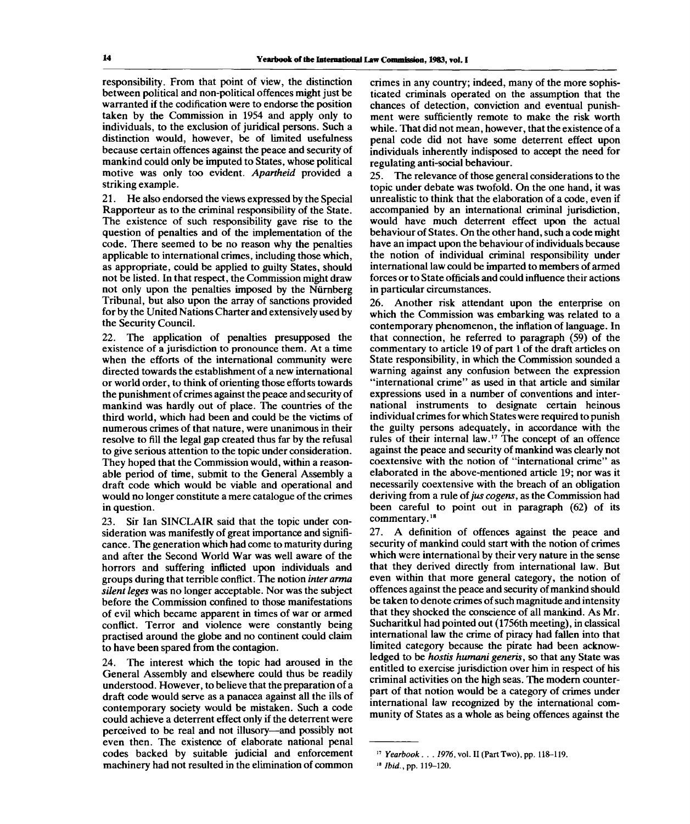responsibility. From that point of view, the distinction between political and non-political offences might just be warranted if the codification were to endorse the position taken by the Commission in 1954 and apply only to individuals, to the exclusion of juridical persons. Such a distinction would, however, be of limited usefulness because certain offences against the peace and security of mankind could only be imputed to States, whose political motive was only too evident. *Apartheid* provided a striking example.

21. He also endorsed the views expressed by the Special Rapporteur as to the criminal responsibility of the State. The existence of such responsibility gave rise to the question of penalties and of the implementation of the code. There seemed to be no reason why the penalties applicable to international crimes, including those which, as appropriate, could be applied to guilty States, should not be listed. In that respect, the Commission might draw not only upon the penalties imposed by the Niirnberg Tribunal, but also upon the array of sanctions provided for by the United Nations Charter and extensively used by the Security Council.

22. The application of penalties presupposed the existence of a jurisdiction to pronounce them. At a time when the efforts of the international community were directed towards the establishment of a new international or world order, to think of orienting those efforts towards the punishment of crimes against the peace and security of mankind was hardly out of place. The countries of the third world, which had been and could be the victims of numerous crimes of that nature, were unanimous in their resolve to fill the legal gap created thus far by the refusal to give serious attention to the topic under consideration. They hoped that the Commission would, within a reasonable period of time, submit to the General Assembly a draft code which would be viable and operational and would no longer constitute a mere catalogue of the crimes in question.

23. Sir Ian SINCLAIR said that the topic under consideration was manifestly of great importance and significance. The generation which had come to maturity during and after the Second World War was well aware of the horrors and suffering inflicted upon individuals and groups during that terrible conflict. The notion *inter arma silent leges* was no longer acceptable. Nor was the subject before the Commission confined to those manifestations of evil which became apparent in times of war or armed conflict. Terror and violence were constantly being practised around the globe and no continent could claim to have been spared from the contagion.

24. The interest which the topic had aroused in the General Assembly and elsewhere could thus be readily understood. However, to believe that the preparation of a draft code would serve as a panacea against all the ills of contemporary society would be mistaken. Such a code could achieve a deterrent effect only if the deterrent were perceived to be real and not illusory—and possibly not even then. The existence of elaborate national penal codes backed by suitable judicial and enforcement machinery had not resulted in the elimination of common

crimes in any country; indeed, many of the more sophisticated criminals operated on the assumption that the chances of detection, conviction and eventual punishment were sufficiently remote to make the risk worth while. That did not mean, however, that the existence of a penal code did not have some deterrent effect upon individuals inherently indisposed to accept the need for regulating anti-social behaviour.

25. The relevance of those general considerations to the topic under debate was twofold. On the one hand, it was unrealistic to think that the elaboration of a code, even if accompanied by an international criminal jurisdiction, would have much deterrent effect upon the actual behaviour of States. On the other hand, such a code might have an impact upon the behaviour of individuals because the notion of individual criminal responsibility under international law could be imparted to members of armed forces or to State officials and could influence their actions in particular circumstances.

26. Another risk attendant upon the enterprise on which the Commission was embarking was related to a contemporary phenomenon, the inflation of language. In that connection, he referred to paragraph (59) of the commentary to article 19 of part 1 of the draft articles on State responsibility, in which the Commission sounded a warning against any confusion between the expression "international crime" as used in that article and similar expressions used in a number of conventions and international instruments to designate certain heinous individual crimes for which States were required to punish the guilty persons adequately, in accordance with the rules of their internal law.<sup>17</sup> The concept of an offence against the peace and security of mankind was clearly not coextensive with the notion of "international crime" as elaborated in the above-mentioned article 19; nor was it necessarily coextensive with the breach of an obligation deriving from a rule of *jus cogens,* as the Commission had been careful to point out in paragraph (62) of its commentary.<sup>18</sup>

27. A definition of offences against the peace and security of mankind could start with the notion of crimes which were international by their very nature in the sense that they derived directly from international law. But even within that more general category, the notion of offences against the peace and security of mankind should be taken to denote crimes of such magnitude and intensity that they shocked the conscience of all mankind. As Mr. Sucharitkul had pointed out (1756th meeting), in classical international law the crime of piracy had fallen into that limited category because the pirate had been acknowledged to be *hostis humani generis,* so that any State was entitled to exercise jurisdiction over him in respect of his criminal activities on the high seas. The modem counterpart of that notion would be a category of crimes under international law recognized by the international community of States as a whole as being offences against the

<sup>17</sup>  *Yearbook. . . 1976,* vol. II (Part Two), pp. 118-119.

<sup>18</sup>  *Ibid.,*pp. 119-120.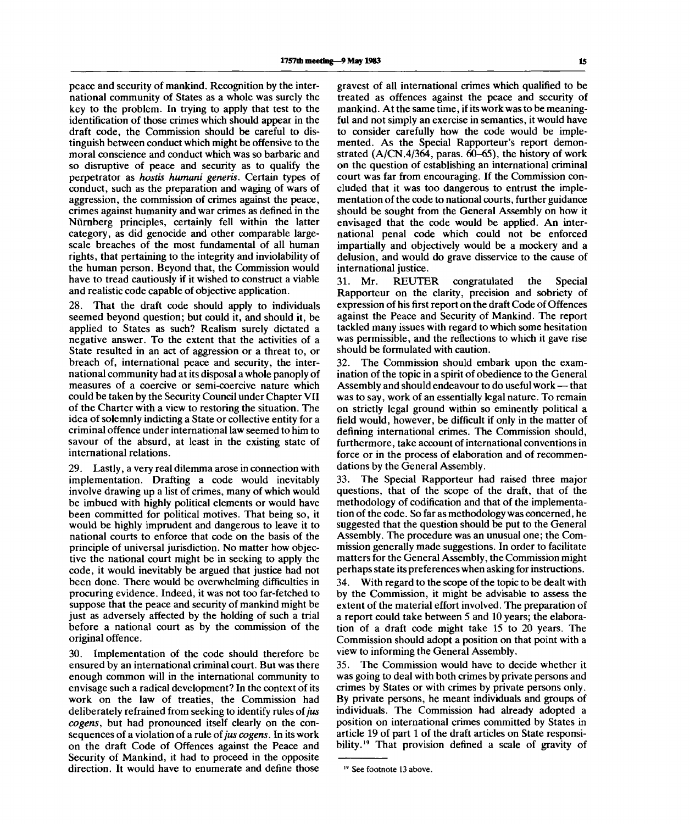peace and security of mankind. Recognition by the international community of States as a whole was surely the key to the problem. In trying to apply that test to the identification of those crimes which should appear in the draft code, the Commission should be careful to distinguish between conduct which might be offensive to the moral conscience and conduct which was so barbaric and so disruptive of peace and security as to qualify the perpetrator as *hostis humani generis.* Certain types of conduct, such as the preparation and waging of wars of aggression, the commission of crimes against the peace, crimes against humanity and war crimes as defined in the Niirnberg principles, certainly fell within the latter category, as did genocide and other comparable largescale breaches of the most fundamental of all human rights, that pertaining to the integrity and inviolability of the human person. Beyond that, the Commission would have to tread cautiously if it wished to construct a viable and realistic code capable of objective application.

28. That the draft code should apply to individuals seemed beyond question; but could it, and should it, be applied to States as such? Realism surely dictated a negative answer. To the extent that the activities of a State resulted in an act of aggression or a threat to, or breach of, international peace and security, the international community had at its disposal a whole panoply of measures of a coercive or semi-coercive nature which could be taken by the Security Council under Chapter VII of the Charter with a view to restoring the situation. The idea of solemnly indicting a State or collective entity for a criminal offence under international law seemed to him to savour of the absurd, at least in the existing state of international relations.

29. Lastly, a very real dilemma arose in connection with implementation. Drafting a code would inevitably involve drawing up a list of crimes, many of which would be imbued with highly political elements or would have been committed for political motives. That being so, it would be highly imprudent and dangerous to leave it to national courts to enforce that code on the basis of the principle of universal jurisdiction. No matter how objective the national court might be in seeking to apply the code, it would inevitably be argued that justice had not been done. There would be overwhelming difficulties in procuring evidence. Indeed, it was not too far-fetched to suppose that the peace and security of mankind might be just as adversely affected by the holding of such a trial before a national court as by the commission of the original offence.

30. Implementation of the code should therefore be ensured by an international criminal court. But was there enough common will in the international community to envisage such a radical development? In the context of its work on the law of treaties, the Commission had deliberately refrained from seeking to identify rules of *jus cogens,* but had pronounced itself clearly on the consequences of a violation of a rule of *jus cogens.* In its work on the draft Code of Offences against the Peace and Security of Mankind, it had to proceed in the opposite direction. It would have to enumerate and define those

gravest of all international crimes which qualified to be treated as offences against the peace and security of mankind. At the same time, if its work was to be meaningful and not simply an exercise in semantics, it would have to consider carefully how the code would be implemented. As the Special Rapporteur's report demonstrated (A/CN.4/364, paras. 60-65), the history of work on the question of establishing an international criminal court was far from encouraging. If the Commission concluded that it was too dangerous to entrust the implementation of the code to national courts, further guidance should be sought from the General Assembly on how it envisaged that the code would be applied. An international penal code which could not be enforced impartially and objectively would be a mockery and a delusion, and would do grave disservice to the cause of international justice.

31. Mr. REUTER congratulated the Special Rapporteur on the clarity, precision and sobriety of expression of his first report on the draft Code of Offences against the Peace and Security of Mankind. The report tackled many issues with regard to which some hesitation was permissible, and the reflections to which it gave rise should be formulated with caution.

32. The Commission should embark upon the examination of the topic in a spirit of obedience to the General Assembly and should endeavour to do useful work — that was to say, work of an essentially legal nature. To remain on strictly legal ground within so eminently political a field would, however, be difficult if only in the matter of defining international crimes. The Commission should, furthermore, take account of international conventions in force or in the process of elaboration and of recommendations by the General Assembly.

33. The Special Rapporteur had raised three major questions, that of the scope of the draft, that of the methodology of codification and that of the implementation of the code. So far as methodology was concerned, he suggested that the question should be put to the General Assembly. The procedure was an unusual one; the Commission generally made suggestions. In order to facilitate matters for the General Assembly, the Commission might perhaps state its preferences when asking for instructions.

34. With regard to the scope of the topic to be dealt with by the Commission, it might be advisable to assess the extent of the material effort involved. The preparation of a report could take between 5 and 10 years; the elaboration of a draft code might take 15 to 20 years. The Commission should adopt a position on that point with a view to informing the General Assembly.

35. The Commission would have to decide whether it was going to deal with both crimes by private persons and crimes by States or with crimes by private persons only. By private persons, he meant individuals and groups of individuals. The Commission had already adopted a position on international crimes committed by States in article 19 of part 1 of the draft articles on State responsibility.<sup>19</sup> That provision defined a scale of gravity of

<sup>19</sup> See footnote 13 above.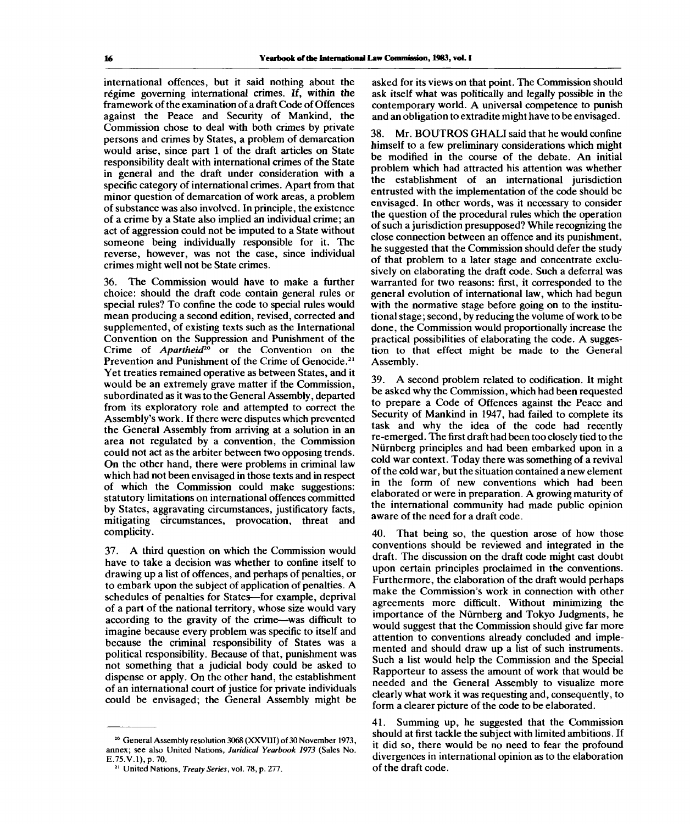international offences, but it said nothing about the régime governing international crimes. If, within the framework of the examination of a draft Code of Offences against the Peace and Security of Mankind, the Commission chose to deal with both crimes by private persons and crimes by States, a problem of demarcation would arise, since part 1 of the draft articles on State responsibility dealt with international crimes of the State in general and the draft under consideration with a specific category of international crimes. Apart from that minor question of demarcation of work areas, a problem of substance was also involved. In principle, the existence of a crime by a State also implied an individual crime; an act of aggression could not be imputed to a State without someone being individually responsible for it. The reverse, however, was not the case, since individual crimes might well not be State crimes.

36. The Commission would have to make a further choice: should the draft code contain general rules or special rules? To confine the code to special rules would mean producing a second edition, revised, corrected and supplemented, of existing texts such as the International Convention on the Suppression and Punishment of the Crime of *Apartheid*<sup>20</sup> or the Convention on the Prevention and Punishment of the Crime of Genocide.<sup>21</sup> Yet treaties remained operative as between States, and it would be an extremely grave matter if the Commission, subordinated as it was to the General Assembly, departed from its exploratory role and attempted to correct the Assembly's work. If there were disputes which prevented the General Assembly from arriving at a solution in an area not regulated by a convention, the Commission could not act as the arbiter between two opposing trends. On the other hand, there were problems in criminal law which had not been envisaged in those texts and in respect of which the Commission could make suggestions: statutory limitations on international offences committed by States, aggravating circumstances, justificatory facts, mitigating circumstances, provocation, threat and complicity.

37. A third question on which the Commission would have to take a decision was whether to confine itself to drawing up a list of offences, and perhaps of penalties, or to embark upon the subject of application of penalties. A schedules of penalties for States—for example, deprival of a part of the national territory, whose size would vary according to the gravity of the crime—was difficult to imagine because every problem was specific to itself and because the criminal responsibility of States was a political responsibility. Because of that, punishment was not something that a judicial body could be asked to dispense or apply. On the other hand, the establishment of an international court of justice for private individuals could be envisaged; the General Assembly might be asked for its views on that point. The Commission should ask itself what was politically and legally possible in the contemporary world. A universal competence to punish and an obligation to extradite might have to be envisaged.

38. Mr. BOUTROS GHALI said that he would confine himself to a few preliminary considerations which might be modified in the course of the debate. An initial problem which had attracted his attention was whether the establishment of an international jurisdiction entrusted with the implementation of the code should be envisaged. In other words, was it necessary to consider the question of the procedural rules which the operation of such a jurisdiction presupposed? While recognizing the close connection between an offence and its punishment, he suggested that the Commission should defer the study of that problem to a later stage and concentrate exclusively on elaborating the draft code. Such a deferral was warranted for two reasons: first, it corresponded to the general evolution of international law, which had begun with the normative stage before going on to the institutional stage; second, by reducing the volume of work to be done, the Commission would proportionally increase the practical possibilities of elaborating the code. A suggestion to that effect might be made to the General Assembly.

39. A second problem related to codification. It might be asked why the Commission, which had been requested to prepare a Code of Offences against the Peace and Security of Mankind in 1947, had failed to complete its task and why the idea of the code had recently re-emerged. The first draft had been too closely tied to the Niirnberg principles and had been embarked upon in a cold war context. Today there was something of a revival of the cold war, but the situation contained a new element in the form of new conventions which had been elaborated or were in preparation. A growing maturity of the international community had made public opinion aware of the need for a draft code.

40. That being so, the question arose of how those conventions should be reviewed and integrated in the draft. The discussion on the draft code might cast doubt upon certain principles proclaimed in the conventions. Furthermore, the elaboration of the draft would perhaps make the Commission's work in connection with other agreements more difficult. Without minimizing the importance of the Niirnberg and Tokyo Judgments, he would suggest that the Commission should give far more attention to conventions already concluded and implemented and should draw up a list of such instruments. Such a list would help the Commission and the Special Rapporteur to assess the amount of work that would be needed and the General Assembly to visualize more clearly what work it was requesting and, consequently, to form a clearer picture of the code to be elaborated.

41. Summing up, he suggested that the Commission should at first tackle the subject with limited ambitions. If it did so, there would be no need to fear the profound divergences in international opinion as to the elaboration of the draft code.

<sup>&</sup>lt;sup>20</sup> General Assembly resolution 3068 (XXVIII) of 30 November 1973, annex; see also United Nations, *Juridical Yearbook 1973* (Sales No. E.75.V.l),p.7O.

<sup>21</sup> United Nations, *Treaty Series,* vol. 78, p. 277.